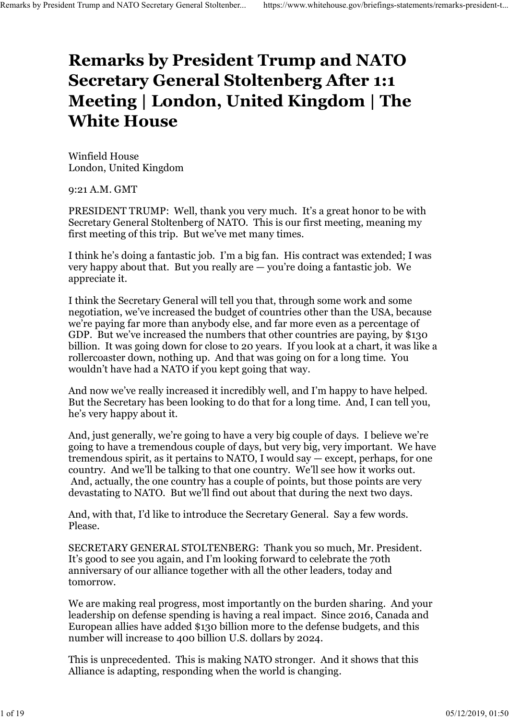## Remarks by President Trump and NATO Secretary General Stoltenberg After 1:1 Meeting | London, United Kingdom | The White House Remarks by President Trump and NATO Secretary General Stoltenber... https://www.whitehouse.gov/briefings-statements/remarks-president-t...<br>Remarks hy President Trump and NATO

Winfield House London, United Kingdom

9:21 A.M. GMT

PRESIDENT TRUMP: Well, thank you very much. It's a great honor to be with Secretary General Stoltenberg of NATO. This is our first meeting, meaning my first meeting of this trip. But we've met many times.

I think he's doing a fantastic job. I'm a big fan. His contract was extended; I was very happy about that. But you really are — you're doing a fantastic job. We appreciate it.

I think the Secretary General will tell you that, through some work and some negotiation, we've increased the budget of countries other than the USA, because we're paying far more than anybody else, and far more even as a percentage of GDP. But we've increased the numbers that other countries are paying, by \$130 billion. It was going down for close to 20 years. If you look at a chart, it was like a rollercoaster down, nothing up. And that was going on for a long time. You wouldn't have had a NATO if you kept going that way.

And now we've really increased it incredibly well, and I'm happy to have helped. But the Secretary has been looking to do that for a long time. And, I can tell you, he's very happy about it.

And, just generally, we're going to have a very big couple of days. I believe we're going to have a tremendous couple of days, but very big, very important. We have tremendous spirit, as it pertains to NATO, I would say — except, perhaps, for one country. And we'll be talking to that one country. We'll see how it works out. And, actually, the one country has a couple of points, but those points are very devastating to NATO. But we'll find out about that during the next two days.

And, with that, I'd like to introduce the Secretary General. Say a few words. Please.

SECRETARY GENERAL STOLTENBERG: Thank you so much, Mr. President. It's good to see you again, and I'm looking forward to celebrate the 70th anniversary of our alliance together with all the other leaders, today and tomorrow.

We are making real progress, most importantly on the burden sharing. And your leadership on defense spending is having a real impact. Since 2016, Canada and European allies have added \$130 billion more to the defense budgets, and this number will increase to 400 billion U.S. dollars by 2024.

This is unprecedented. This is making NATO stronger. And it shows that this Alliance is adapting, responding when the world is changing.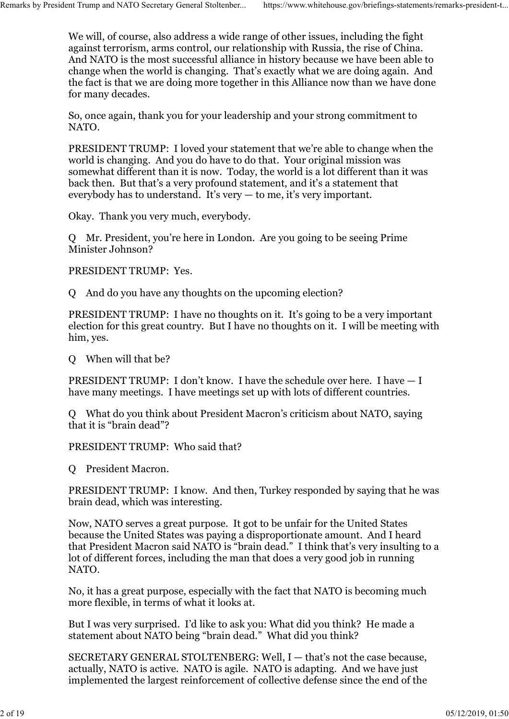We will, of course, also address a wide range of other issues, including the fight against terrorism, arms control, our relationship with Russia, the rise of China. And NATO is the most successful alliance in history because we have been able to change when the world is changing. That's exactly what we are doing again. And the fact is that we are doing more together in this Alliance now than we have done for many decades. Remarks by President Trump and NATO Secretary General Stoltenber... https://www.whitehouse.gov/briefings-statements/remarks-president-t...<br>We will, of course, also address a wide range of other issues, including the fight<br>

> So, once again, thank you for your leadership and your strong commitment to NATO.

PRESIDENT TRUMP: I loved your statement that we're able to change when the world is changing. And you do have to do that. Your original mission was somewhat different than it is now. Today, the world is a lot different than it was back then. But that's a very profound statement, and it's a statement that everybody has to understand. It's very  $-$  to me, it's very important.

Okay. Thank you very much, everybody.

Q Mr. President, you're here in London. Are you going to be seeing Prime Minister Johnson?

PRESIDENT TRUMP: Yes.

Q And do you have any thoughts on the upcoming election?

PRESIDENT TRUMP: I have no thoughts on it. It's going to be a very important election for this great country. But I have no thoughts on it. I will be meeting with him, yes.

Q When will that be?

PRESIDENT TRUMP: I don't know. I have the schedule over here. I have — I have many meetings. I have meetings set up with lots of different countries.

Q What do you think about President Macron's criticism about NATO, saying that it is "brain dead"?

PRESIDENT TRUMP: Who said that?

Q President Macron.

PRESIDENT TRUMP: I know. And then, Turkey responded by saying that he was brain dead, which was interesting.

Now, NATO serves a great purpose. It got to be unfair for the United States because the United States was paying a disproportionate amount. And I heard that President Macron said NATO is "brain dead." I think that's very insulting to a lot of different forces, including the man that does a very good job in running NATO.

No, it has a great purpose, especially with the fact that NATO is becoming much more flexible, in terms of what it looks at.

But I was very surprised. I'd like to ask you: What did you think? He made a statement about NATO being "brain dead." What did you think?

SECRETARY GENERAL STOLTENBERG: Well, I — that's not the case because, actually, NATO is active. NATO is agile. NATO is adapting. And we have just implemented the largest reinforcement of collective defense since the end of the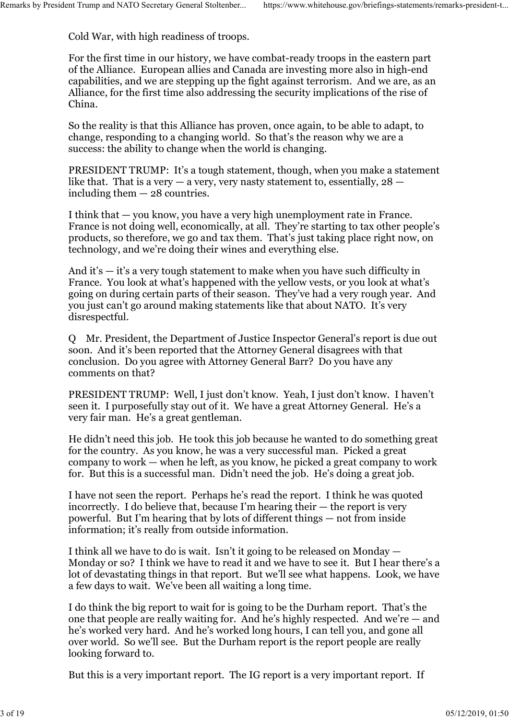Cold War, with high readiness of troops.

For the first time in our history, we have combat-ready troops in the eastern part of the Alliance. European allies and Canada are investing more also in high-end capabilities, and we are stepping up the fight against terrorism. And we are, as an Alliance, for the first time also addressing the security implications of the rise of China. Remarks by President Trump and NATO Secretary General Stoltenber... https://www.whitehouse.gov/briefings-statements/remarks-president-t...<br>Cold War, with high readiness of troops.<br>For the first time in our history, we have

> So the reality is that this Alliance has proven, once again, to be able to adapt, to change, responding to a changing world. So that's the reason why we are a success: the ability to change when the world is changing.

PRESIDENT TRUMP: It's a tough statement, though, when you make a statement like that. That is a very  $-$  a very, very nasty statement to, essentially,  $28$ including them — 28 countries.

I think that — you know, you have a very high unemployment rate in France. France is not doing well, economically, at all. They're starting to tax other people's products, so therefore, we go and tax them. That's just taking place right now, on technology, and we're doing their wines and everything else.

And it's — it's a very tough statement to make when you have such difficulty in France. You look at what's happened with the yellow vests, or you look at what's going on during certain parts of their season. They've had a very rough year. And you just can't go around making statements like that about NATO. It's very disrespectful.

Q Mr. President, the Department of Justice Inspector General's report is due out soon. And it's been reported that the Attorney General disagrees with that conclusion. Do you agree with Attorney General Barr? Do you have any comments on that?

PRESIDENT TRUMP: Well, I just don't know. Yeah, I just don't know. I haven't seen it. I purposefully stay out of it. We have a great Attorney General. He's a very fair man. He's a great gentleman.

He didn't need this job. He took this job because he wanted to do something great for the country. As you know, he was a very successful man. Picked a great company to work — when he left, as you know, he picked a great company to work for. But this is a successful man. Didn't need the job. He's doing a great job.

I have not seen the report. Perhaps he's read the report. I think he was quoted incorrectly. I do believe that, because I'm hearing their — the report is very powerful. But I'm hearing that by lots of different things — not from inside information; it's really from outside information.

I think all we have to do is wait. Isn't it going to be released on Monday — Monday or so? I think we have to read it and we have to see it. But I hear there's a lot of devastating things in that report. But we'll see what happens. Look, we have a few days to wait. We've been all waiting a long time.

I do think the big report to wait for is going to be the Durham report. That's the one that people are really waiting for. And he's highly respected. And we're — and he's worked very hard. And he's worked long hours, I can tell you, and gone all over world. So we'll see. But the Durham report is the report people are really looking forward to.

But this is a very important report. The IG report is a very important report. If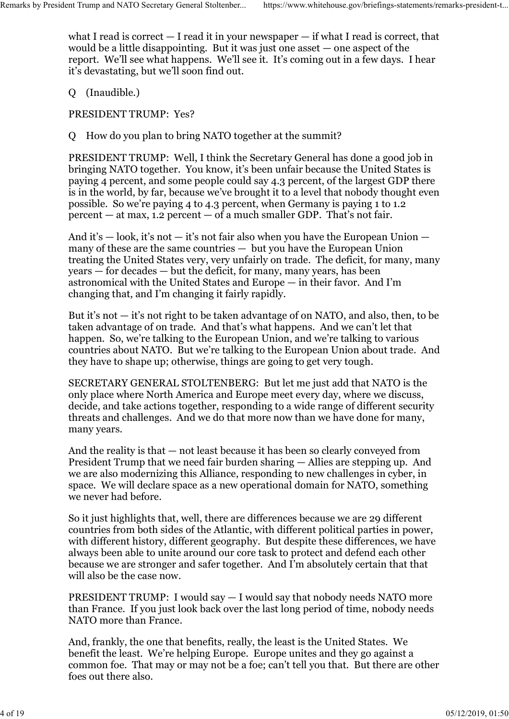what I read is correct  $-$  I read it in your newspaper  $-$  if what I read is correct, that would be a little disappointing. But it was just one asset — one aspect of the report. We'll see what happens. We'll see it. It's coming out in a few days. I hear it's devastating, but we'll soon find out. Remarks by President Trump and NATO Secretary General Stoltenber... https://www.whitehouse.gov/briefings-statements/remarks-president-t...<br>what I read is correct — I read it in your newspaper — if what I read is correct, t

Q (Inaudible.)

PRESIDENT TRUMP: Yes?

Q How do you plan to bring NATO together at the summit?

PRESIDENT TRUMP: Well, I think the Secretary General has done a good job in bringing NATO together. You know, it's been unfair because the United States is paying 4 percent, and some people could say 4.3 percent, of the largest GDP there is in the world, by far, because we've brought it to a level that nobody thought even possible. So we're paying 4 to 4.3 percent, when Germany is paying 1 to 1.2 percent  $-$  at max, 1.2 percent  $-$  of a much smaller GDP. That's not fair.

And it's — look, it's not — it's not fair also when you have the European Union many of these are the same countries — but you have the European Union treating the United States very, very unfairly on trade. The deficit, for many, many years — for decades — but the deficit, for many, many years, has been astronomical with the United States and Europe — in their favor. And I'm changing that, and I'm changing it fairly rapidly.

But it's not  $-$  it's not right to be taken advantage of on NATO, and also, then, to be taken advantage of on trade. And that's what happens. And we can't let that happen. So, we're talking to the European Union, and we're talking to various countries about NATO. But we're talking to the European Union about trade. And they have to shape up; otherwise, things are going to get very tough.

SECRETARY GENERAL STOLTENBERG: But let me just add that NATO is the only place where North America and Europe meet every day, where we discuss, decide, and take actions together, responding to a wide range of different security threats and challenges. And we do that more now than we have done for many, many years.

And the reality is that — not least because it has been so clearly conveyed from President Trump that we need fair burden sharing — Allies are stepping up. And we are also modernizing this Alliance, responding to new challenges in cyber, in space. We will declare space as a new operational domain for NATO, something we never had before.

So it just highlights that, well, there are differences because we are 29 different countries from both sides of the Atlantic, with different political parties in power, with different history, different geography. But despite these differences, we have always been able to unite around our core task to protect and defend each other because we are stronger and safer together. And I'm absolutely certain that that will also be the case now.

PRESIDENT TRUMP: I would say — I would say that nobody needs NATO more than France. If you just look back over the last long period of time, nobody needs NATO more than France.

And, frankly, the one that benefits, really, the least is the United States. We benefit the least. We're helping Europe. Europe unites and they go against a common foe. That may or may not be a foe; can't tell you that. But there are other foes out there also.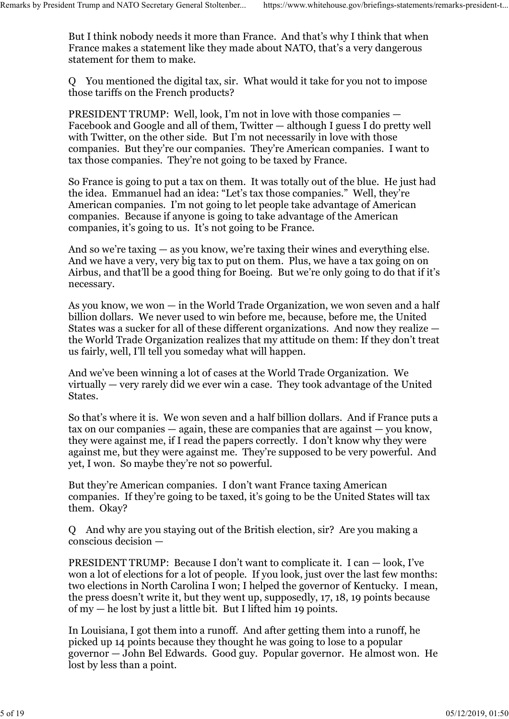But I think nobody needs it more than France. And that's why I think that when France makes a statement like they made about NATO, that's a very dangerous statement for them to make. Remarks by President Trump and NATO Secretary General Stoltenber... https://www.whitehouse.gov/briefings-statements/remarks-president-t...<br>But I think nobody needs it more than France. And that's why I think that when<br>Fran

> Q You mentioned the digital tax, sir. What would it take for you not to impose those tariffs on the French products?

> PRESIDENT TRUMP: Well, look, I'm not in love with those companies — Facebook and Google and all of them, Twitter — although I guess I do pretty well with Twitter, on the other side. But I'm not necessarily in love with those companies. But they're our companies. They're American companies. I want to tax those companies. They're not going to be taxed by France.

So France is going to put a tax on them. It was totally out of the blue. He just had the idea. Emmanuel had an idea: "Let's tax those companies." Well, they're American companies. I'm not going to let people take advantage of American companies. Because if anyone is going to take advantage of the American companies, it's going to us. It's not going to be France.

And so we're taxing — as you know, we're taxing their wines and everything else. And we have a very, very big tax to put on them. Plus, we have a tax going on on Airbus, and that'll be a good thing for Boeing. But we're only going to do that if it's necessary.

As you know, we won — in the World Trade Organization, we won seven and a half billion dollars. We never used to win before me, because, before me, the United States was a sucker for all of these different organizations. And now they realize the World Trade Organization realizes that my attitude on them: If they don't treat us fairly, well, I'll tell you someday what will happen.

And we've been winning a lot of cases at the World Trade Organization. We virtually — very rarely did we ever win a case. They took advantage of the United States.

So that's where it is. We won seven and a half billion dollars. And if France puts a tax on our companies — again, these are companies that are against — you know, they were against me, if I read the papers correctly. I don't know why they were against me, but they were against me. They're supposed to be very powerful. And yet, I won. So maybe they're not so powerful.

But they're American companies. I don't want France taxing American companies. If they're going to be taxed, it's going to be the United States will tax them. Okay?

Q And why are you staying out of the British election, sir? Are you making a conscious decision —

PRESIDENT TRUMP: Because I don't want to complicate it. I can — look, I've won a lot of elections for a lot of people. If you look, just over the last few months: two elections in North Carolina I won; I helped the governor of Kentucky. I mean, the press doesn't write it, but they went up, supposedly, 17, 18, 19 points because of  $my - he$  lost by just a little bit. But I lifted him 19 points.

In Louisiana, I got them into a runoff. And after getting them into a runoff, he picked up 14 points because they thought he was going to lose to a popular governor — John Bel Edwards. Good guy. Popular governor. He almost won. He lost by less than a point.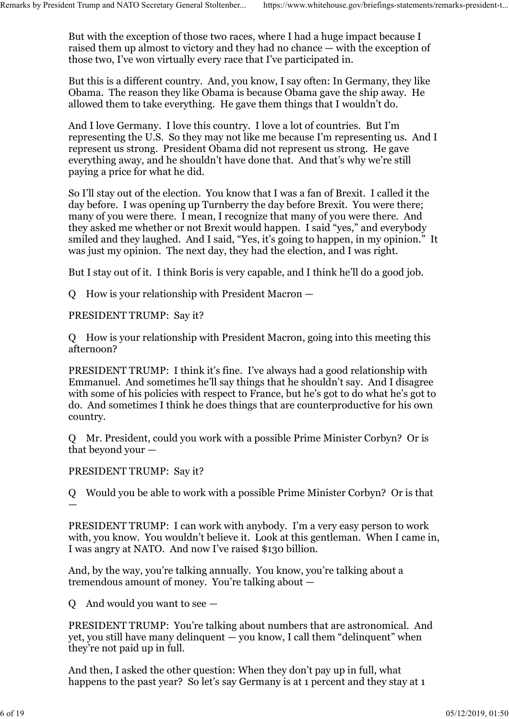But with the exception of those two races, where I had a huge impact because I raised them up almost to victory and they had no chance — with the exception of those two, I've won virtually every race that I've participated in. Remarks by President Trump and NATO Secretary General Stoltenber... https://www.whitehouse.gov/briefings-statements/remarks-president-t...<br>But with the exception of those two races, where I had a huge impact because I rais

> But this is a different country. And, you know, I say often: In Germany, they like Obama. The reason they like Obama is because Obama gave the ship away. He allowed them to take everything. He gave them things that I wouldn't do.

And I love Germany. I love this country. I love a lot of countries. But I'm representing the U.S. So they may not like me because I'm representing us. And I represent us strong. President Obama did not represent us strong. He gave everything away, and he shouldn't have done that. And that's why we're still paying a price for what he did.

So I'll stay out of the election. You know that I was a fan of Brexit. I called it the day before. I was opening up Turnberry the day before Brexit. You were there; many of you were there. I mean, I recognize that many of you were there. And they asked me whether or not Brexit would happen. I said "yes," and everybody smiled and they laughed. And I said, "Yes, it's going to happen, in my opinion." It was just my opinion. The next day, they had the election, and I was right.

But I stay out of it. I think Boris is very capable, and I think he'll do a good job.

Q How is your relationship with President Macron —

PRESIDENT TRUMP: Say it?

Q How is your relationship with President Macron, going into this meeting this afternoon?

PRESIDENT TRUMP: I think it's fine. I've always had a good relationship with Emmanuel. And sometimes he'll say things that he shouldn't say. And I disagree with some of his policies with respect to France, but he's got to do what he's got to do. And sometimes I think he does things that are counterproductive for his own country.

Q Mr. President, could you work with a possible Prime Minister Corbyn? Or is that beyond your —

## PRESIDENT TRUMP: Say it?

Q Would you be able to work with a possible Prime Minister Corbyn? Or is that  $\frac{1}{2}$  , the contract of the contract of the contract of the contract of the contract of the contract of

PRESIDENT TRUMP: I can work with anybody. I'm a very easy person to work with, you know. You wouldn't believe it. Look at this gentleman. When I came in, I was angry at NATO. And now I've raised \$130 billion.

And, by the way, you're talking annually. You know, you're talking about a tremendous amount of money. You're talking about —

Q And would you want to see  $-$ 

PRESIDENT TRUMP: You're talking about numbers that are astronomical. And yet, you still have many delinquent — you know, I call them "delinquent" when they're not paid up in full.

And then, I asked the other question: When they don't pay up in full, what happens to the past year? So let's say Germany is at 1 percent and they stay at 1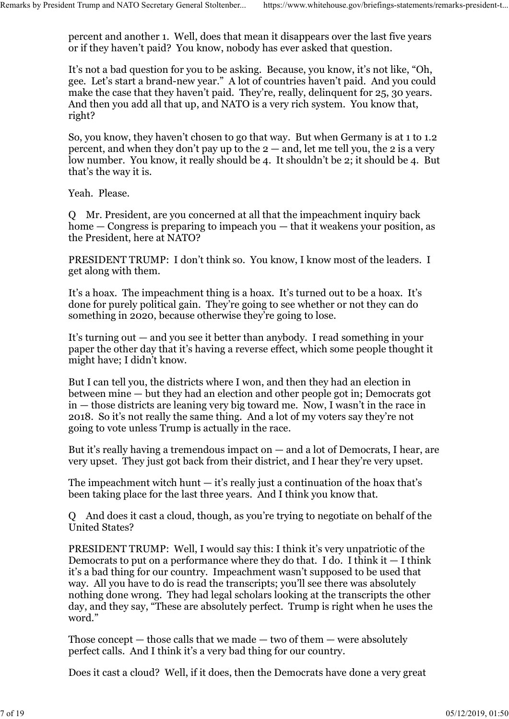percent and another 1. Well, does that mean it disappears over the last five years or if they haven't paid? You know, nobody has ever asked that question. Remarks by President Trump and NATO Secretary General Stoltenber... https://www.whitehouse.gov/briefings-statements/remarks-president-t...<br>percent and another 1. Well, does that mean it disappears over the last five years<br>

> It's not a bad question for you to be asking. Because, you know, it's not like, "Oh, gee. Let's start a brand-new year." A lot of countries haven't paid. And you could make the case that they haven't paid. They're, really, delinquent for 25, 30 years. And then you add all that up, and NATO is a very rich system. You know that, right?

So, you know, they haven't chosen to go that way. But when Germany is at 1 to 1.2 percent, and when they don't pay up to the  $2 -$  and, let me tell you, the 2 is a very low number. You know, it really should be 4. It shouldn't be 2; it should be 4. But that's the way it is.

Yeah. Please.

Q Mr. President, are you concerned at all that the impeachment inquiry back home — Congress is preparing to impeach you — that it weakens your position, as the President, here at NATO?

PRESIDENT TRUMP: I don't think so. You know, I know most of the leaders. I get along with them.

It's a hoax. The impeachment thing is a hoax. It's turned out to be a hoax. It's done for purely political gain. They're going to see whether or not they can do something in 2020, because otherwise they're going to lose.

It's turning out — and you see it better than anybody. I read something in your paper the other day that it's having a reverse effect, which some people thought it might have; I didn't know.

But I can tell you, the districts where I won, and then they had an election in between mine — but they had an election and other people got in; Democrats got in — those districts are leaning very big toward me. Now, I wasn't in the race in 2018. So it's not really the same thing. And a lot of my voters say they're not going to vote unless Trump is actually in the race.

But it's really having a tremendous impact on  $-$  and a lot of Democrats, I hear, are very upset. They just got back from their district, and I hear they're very upset.

The impeachment witch hunt  $-$  it's really just a continuation of the hoax that's been taking place for the last three years. And I think you know that.

Q And does it cast a cloud, though, as you're trying to negotiate on behalf of the United States?

PRESIDENT TRUMP: Well, I would say this: I think it's very unpatriotic of the Democrats to put on a performance where they do that. I do. I think it  $-$  I think it's a bad thing for our country. Impeachment wasn't supposed to be used that way. All you have to do is read the transcripts; you'll see there was absolutely nothing done wrong. They had legal scholars looking at the transcripts the other day, and they say, "These are absolutely perfect. Trump is right when he uses the word."

Those concept  $-$  those calls that we made  $-$  two of them  $-$  were absolutely perfect calls. And I think it's a very bad thing for our country.

Does it cast a cloud? Well, if it does, then the Democrats have done a very great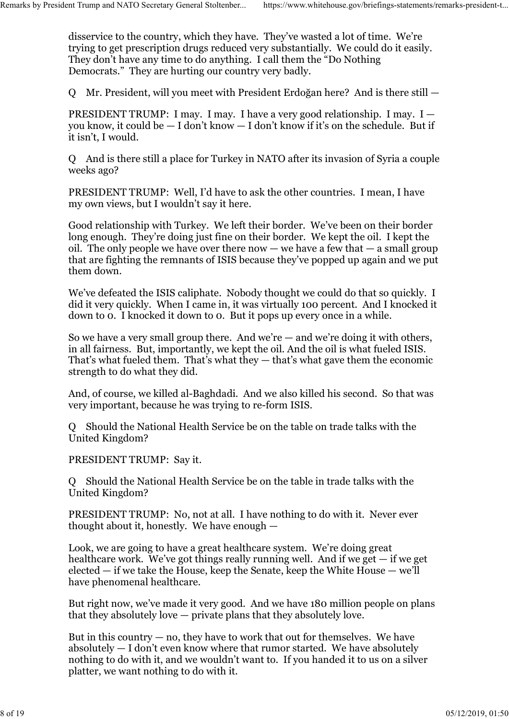disservice to the country, which they have. They've wasted a lot of time. We're trying to get prescription drugs reduced very substantially. We could do it easily. They don't have any time to do anything. I call them the "Do Nothing Democrats." They are hurting our country very badly. Remarks by President Trump and NATO Secretary General Stoltenber... https://www.whitehouse.gov/briefings-statements/remarks-president-t...<br>disservice to the country, which they have. They've wasted a lot of time. We're<br>try

Q Mr. President, will you meet with President Erdoğan here? And is there still —

PRESIDENT TRUMP: I may. I may. I have a very good relationship. I may.  $I$ you know, it could be — I don't know — I don't know if it's on the schedule. But if it isn't, I would.

Q And is there still a place for Turkey in NATO after its invasion of Syria a couple weeks ago?

PRESIDENT TRUMP: Well, I'd have to ask the other countries. I mean, I have my own views, but I wouldn't say it here.

Good relationship with Turkey. We left their border. We've been on their border long enough. They're doing just fine on their border. We kept the oil. I kept the oil. The only people we have over there now  $-$  we have a few that  $-$  a small group that are fighting the remnants of ISIS because they've popped up again and we put them down.

We've defeated the ISIS caliphate. Nobody thought we could do that so quickly. I did it very quickly. When I came in, it was virtually 100 percent. And I knocked it down to 0. I knocked it down to 0. But it pops up every once in a while.

So we have a very small group there. And we're  $-$  and we're doing it with others, in all fairness. But, importantly, we kept the oil. And the oil is what fueled ISIS. That's what fueled them. That's what they — that's what gave them the economic strength to do what they did.

And, of course, we killed al-Baghdadi. And we also killed his second. So that was very important, because he was trying to re-form ISIS.

Q Should the National Health Service be on the table on trade talks with the United Kingdom?

PRESIDENT TRUMP: Say it.

Q Should the National Health Service be on the table in trade talks with the United Kingdom?

PRESIDENT TRUMP: No, not at all. I have nothing to do with it. Never ever thought about it, honestly. We have enough —

Look, we are going to have a great healthcare system. We're doing great healthcare work. We've got things really running well. And if we get  $-$  if we get elected — if we take the House, keep the Senate, keep the White House — we'll have phenomenal healthcare.

But right now, we've made it very good. And we have 180 million people on plans that they absolutely love — private plans that they absolutely love.

But in this country  $-$  no, they have to work that out for themselves. We have absolutely — I don't even know where that rumor started. We have absolutely nothing to do with it, and we wouldn't want to. If you handed it to us on a silver platter, we want nothing to do with it.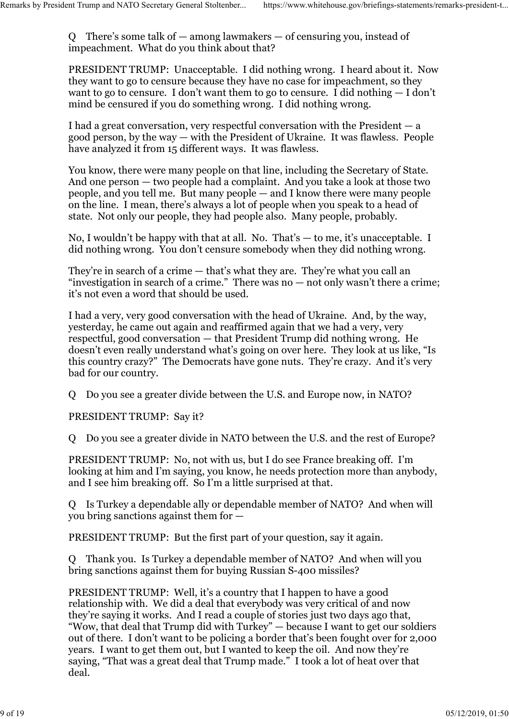Q There's some talk of — among lawmakers — of censuring you, instead of impeachment. What do you think about that? Remarks by President Trump and NATO Secretary General Stoltenber... https://www.whitehouse.gov/briefings-statements/remarks-president-t...<br>Q There's some talk of — among lawmakers — of censuring you, instead of<br>impeachment

> PRESIDENT TRUMP: Unacceptable. I did nothing wrong. I heard about it. Now they want to go to censure because they have no case for impeachment, so they want to go to censure. I don't want them to go to censure. I did nothing  $-1$  don't mind be censured if you do something wrong. I did nothing wrong.

I had a great conversation, very respectful conversation with the President — a good person, by the way — with the President of Ukraine. It was flawless. People have analyzed it from 15 different ways. It was flawless.

You know, there were many people on that line, including the Secretary of State. And one person — two people had a complaint. And you take a look at those two people, and you tell me. But many people — and I know there were many people on the line. I mean, there's always a lot of people when you speak to a head of state. Not only our people, they had people also. Many people, probably.

No, I wouldn't be happy with that at all. No. That's — to me, it's unacceptable. I did nothing wrong. You don't censure somebody when they did nothing wrong.

They're in search of a crime — that's what they are. They're what you call an "investigation in search of a crime." There was no  $-$  not only wasn't there a crime; it's not even a word that should be used.

I had a very, very good conversation with the head of Ukraine. And, by the way, yesterday, he came out again and reaffirmed again that we had a very, very respectful, good conversation — that President Trump did nothing wrong. He doesn't even really understand what's going on over here. They look at us like, "Is this country crazy?" The Democrats have gone nuts. They're crazy. And it's very bad for our country.

Q Do you see a greater divide between the U.S. and Europe now, in NATO?

PRESIDENT TRUMP: Say it?

Q Do you see a greater divide in NATO between the U.S. and the rest of Europe?

PRESIDENT TRUMP: No, not with us, but I do see France breaking off. I'm looking at him and I'm saying, you know, he needs protection more than anybody, and I see him breaking off. So I'm a little surprised at that.

Q Is Turkey a dependable ally or dependable member of NATO? And when will you bring sanctions against them for —

PRESIDENT TRUMP: But the first part of your question, say it again.

Q Thank you. Is Turkey a dependable member of NATO? And when will you bring sanctions against them for buying Russian S-400 missiles?

PRESIDENT TRUMP: Well, it's a country that I happen to have a good relationship with. We did a deal that everybody was very critical of and now they're saying it works. And I read a couple of stories just two days ago that, "Wow, that deal that Trump did with Turkey" — because I want to get our soldiers out of there. I don't want to be policing a border that's been fought over for 2,000 years. I want to get them out, but I wanted to keep the oil. And now they're saying, "That was a great deal that Trump made." I took a lot of heat over that deal.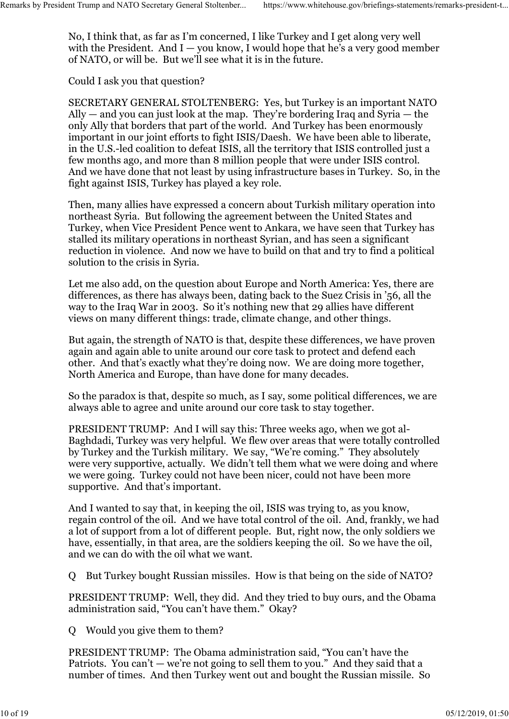No, I think that, as far as I'm concerned, I like Turkey and I get along very well with the President. And  $I - you know, I would hope that he's a very good member$ of NATO, or will be. But we'll see what it is in the future. Remarks by President Trump and NATO Secretary General Stoltenber... https://www.whitehouse.gov/briefings-statements/remarks-president-t...<br>No, I think that, as far as I'm concerned, I like Turkey and I get along very well<br>

Could I ask you that question?

SECRETARY GENERAL STOLTENBERG: Yes, but Turkey is an important NATO Ally — and you can just look at the map. They're bordering Iraq and Syria — the only Ally that borders that part of the world. And Turkey has been enormously important in our joint efforts to fight ISIS/Daesh. We have been able to liberate, in the U.S.-led coalition to defeat ISIS, all the territory that ISIS controlled just a few months ago, and more than 8 million people that were under ISIS control. And we have done that not least by using infrastructure bases in Turkey. So, in the fight against ISIS, Turkey has played a key role.

Then, many allies have expressed a concern about Turkish military operation into northeast Syria. But following the agreement between the United States and Turkey, when Vice President Pence went to Ankara, we have seen that Turkey has stalled its military operations in northeast Syrian, and has seen a significant reduction in violence. And now we have to build on that and try to find a political solution to the crisis in Syria.

Let me also add, on the question about Europe and North America: Yes, there are differences, as there has always been, dating back to the Suez Crisis in '56, all the way to the Iraq War in 2003. So it's nothing new that 29 allies have different views on many different things: trade, climate change, and other things.

But again, the strength of NATO is that, despite these differences, we have proven again and again able to unite around our core task to protect and defend each other. And that's exactly what they're doing now. We are doing more together, North America and Europe, than have done for many decades.

So the paradox is that, despite so much, as I say, some political differences, we are always able to agree and unite around our core task to stay together.

PRESIDENT TRUMP: And I will say this: Three weeks ago, when we got al-Baghdadi, Turkey was very helpful. We flew over areas that were totally controlled by Turkey and the Turkish military. We say, "We're coming." They absolutely were very supportive, actually. We didn't tell them what we were doing and where we were going. Turkey could not have been nicer, could not have been more supportive. And that's important.

And I wanted to say that, in keeping the oil, ISIS was trying to, as you know, regain control of the oil. And we have total control of the oil. And, frankly, we had a lot of support from a lot of different people. But, right now, the only soldiers we have, essentially, in that area, are the soldiers keeping the oil. So we have the oil, and we can do with the oil what we want.

Q But Turkey bought Russian missiles. How is that being on the side of NATO?

PRESIDENT TRUMP: Well, they did. And they tried to buy ours, and the Obama administration said, "You can't have them." Okay?

Q Would you give them to them?

PRESIDENT TRUMP: The Obama administration said, "You can't have the Patriots. You can't — we're not going to sell them to you." And they said that a number of times. And then Turkey went out and bought the Russian missile. So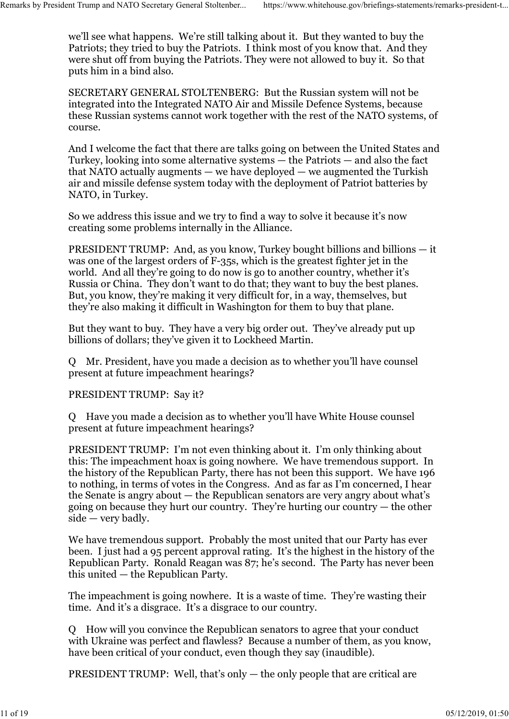we'll see what happens. We're still talking about it. But they wanted to buy the Patriots; they tried to buy the Patriots. I think most of you know that. And they were shut off from buying the Patriots. They were not allowed to buy it. So that puts him in a bind also. Remarks by President Trump and NATO Secretary General Stoltenber... https://www.whitehouse.gov/briefings-statements/remarks-president-t...<br>we'll see what happens. We're still talking about it. But they wanted to buy the<br>Pa

> SECRETARY GENERAL STOLTENBERG: But the Russian system will not be integrated into the Integrated NATO Air and Missile Defence Systems, because these Russian systems cannot work together with the rest of the NATO systems, of course.

> And I welcome the fact that there are talks going on between the United States and Turkey, looking into some alternative systems — the Patriots — and also the fact that NATO actually augments — we have deployed — we augmented the Turkish air and missile defense system today with the deployment of Patriot batteries by NATO, in Turkey.

So we address this issue and we try to find a way to solve it because it's now creating some problems internally in the Alliance.

PRESIDENT TRUMP: And, as you know, Turkey bought billions and billions — it was one of the largest orders of F-35s, which is the greatest fighter jet in the world. And all they're going to do now is go to another country, whether it's Russia or China. They don't want to do that; they want to buy the best planes. But, you know, they're making it very difficult for, in a way, themselves, but they're also making it difficult in Washington for them to buy that plane.

But they want to buy. They have a very big order out. They've already put up billions of dollars; they've given it to Lockheed Martin.

Q Mr. President, have you made a decision as to whether you'll have counsel present at future impeachment hearings?

PRESIDENT TRUMP: Say it?

Q Have you made a decision as to whether you'll have White House counsel present at future impeachment hearings?

PRESIDENT TRUMP: I'm not even thinking about it. I'm only thinking about this: The impeachment hoax is going nowhere. We have tremendous support. In the history of the Republican Party, there has not been this support. We have 196 to nothing, in terms of votes in the Congress. And as far as I'm concerned, I hear the Senate is angry about — the Republican senators are very angry about what's going on because they hurt our country. They're hurting our country — the other side — very badly.

We have tremendous support. Probably the most united that our Party has ever been. I just had a 95 percent approval rating. It's the highest in the history of the Republican Party. Ronald Reagan was 87; he's second. The Party has never been this united — the Republican Party.

The impeachment is going nowhere. It is a waste of time. They're wasting their time. And it's a disgrace. It's a disgrace to our country.

Q How will you convince the Republican senators to agree that your conduct with Ukraine was perfect and flawless? Because a number of them, as you know, have been critical of your conduct, even though they say (inaudible).

PRESIDENT TRUMP: Well, that's only  $-$  the only people that are critical are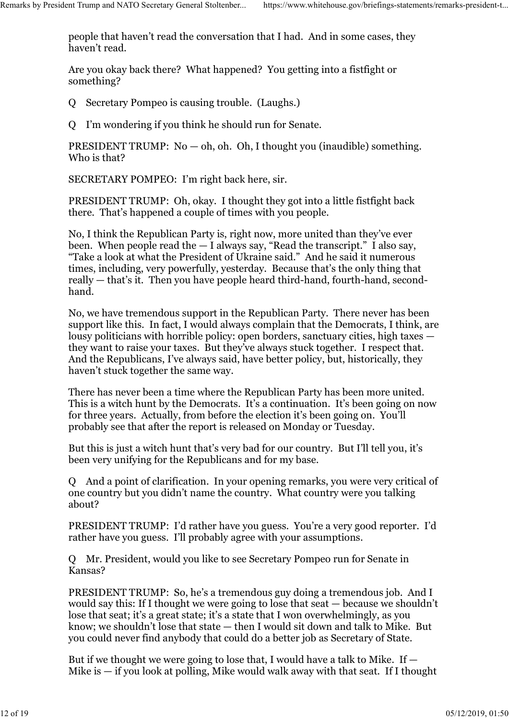people that haven't read the conversation that I had. And in some cases, they haven't read. Remarks by President Trump and NATO Secretary General Stoltenber... https://www.whitehouse.gov/briefings-statements/remarks-president-t...<br>people that haven't read the conversation that I had. And in some cases, they<br>haven

> Are you okay back there? What happened? You getting into a fistfight or something?

- Q Secretary Pompeo is causing trouble. (Laughs.)
- Q I'm wondering if you think he should run for Senate.

PRESIDENT TRUMP:  $No - oh$ ,  $oh$ .  $Oh$ , I thought you (inaudible) something. Who is that?

SECRETARY POMPEO: I'm right back here, sir.

PRESIDENT TRUMP: Oh, okay. I thought they got into a little fistfight back there. That's happened a couple of times with you people.

No, I think the Republican Party is, right now, more united than they've ever been. When people read the  $-1$  always say, "Read the transcript." I also say, "Take a look at what the President of Ukraine said." And he said it numerous times, including, very powerfully, yesterday. Because that's the only thing that really — that's it. Then you have people heard third-hand, fourth-hand, secondhand.

No, we have tremendous support in the Republican Party. There never has been support like this. In fact, I would always complain that the Democrats, I think, are lousy politicians with horrible policy: open borders, sanctuary cities, high taxes they want to raise your taxes. But they've always stuck together. I respect that. And the Republicans, I've always said, have better policy, but, historically, they haven't stuck together the same way.

There has never been a time where the Republican Party has been more united. This is a witch hunt by the Democrats. It's a continuation. It's been going on now for three years. Actually, from before the election it's been going on. You'll probably see that after the report is released on Monday or Tuesday.

But this is just a witch hunt that's very bad for our country. But I'll tell you, it's been very unifying for the Republicans and for my base.

Q And a point of clarification. In your opening remarks, you were very critical of one country but you didn't name the country. What country were you talking about?

PRESIDENT TRUMP: I'd rather have you guess. You're a very good reporter. I'd rather have you guess. I'll probably agree with your assumptions.

Q Mr. President, would you like to see Secretary Pompeo run for Senate in Kansas?

PRESIDENT TRUMP: So, he's a tremendous guy doing a tremendous job. And I would say this: If I thought we were going to lose that seat — because we shouldn't lose that seat; it's a great state; it's a state that I won overwhelmingly, as you know; we shouldn't lose that state — then I would sit down and talk to Mike. But you could never find anybody that could do a better job as Secretary of State.

But if we thought we were going to lose that, I would have a talk to Mike. If  $-$ Mike is  $-$  if you look at polling, Mike would walk away with that seat. If I thought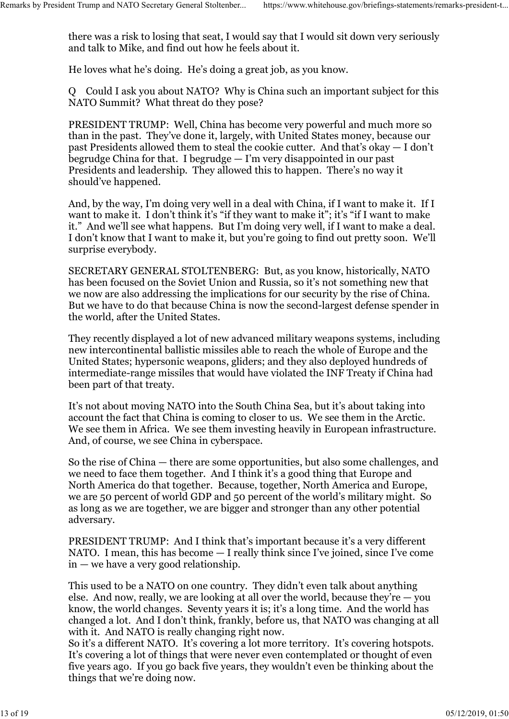there was a risk to losing that seat, I would say that I would sit down very seriously and talk to Mike, and find out how he feels about it. Remarks by President Trump and NATO Secretary General Stoltenber... https://www.whitehouse.gov/briefings-statements/remarks-president-t...<br>there was a risk to losing that seat, I would say that I would sit down very seriou

He loves what he's doing. He's doing a great job, as you know.

Q Could I ask you about NATO? Why is China such an important subject for this NATO Summit? What threat do they pose?

PRESIDENT TRUMP: Well, China has become very powerful and much more so than in the past. They've done it, largely, with United States money, because our past Presidents allowed them to steal the cookie cutter. And that's okay — I don't begrudge China for that. I begrudge  $-$  I'm very disappointed in our past Presidents and leadership. They allowed this to happen. There's no way it should've happened.

And, by the way, I'm doing very well in a deal with China, if I want to make it. If I want to make it. I don't think it's "if they want to make it"; it's "if I want to make it." And we'll see what happens. But I'm doing very well, if I want to make a deal. I don't know that I want to make it, but you're going to find out pretty soon. We'll surprise everybody.

SECRETARY GENERAL STOLTENBERG: But, as you know, historically, NATO has been focused on the Soviet Union and Russia, so it's not something new that we now are also addressing the implications for our security by the rise of China. But we have to do that because China is now the second-largest defense spender in the world, after the United States.

They recently displayed a lot of new advanced military weapons systems, including new intercontinental ballistic missiles able to reach the whole of Europe and the United States; hypersonic weapons, gliders; and they also deployed hundreds of intermediate-range missiles that would have violated the INF Treaty if China had been part of that treaty.

It's not about moving NATO into the South China Sea, but it's about taking into account the fact that China is coming to closer to us. We see them in the Arctic. We see them in Africa. We see them investing heavily in European infrastructure. And, of course, we see China in cyberspace.

So the rise of China — there are some opportunities, but also some challenges, and we need to face them together. And I think it's a good thing that Europe and North America do that together. Because, together, North America and Europe, we are 50 percent of world GDP and 50 percent of the world's military might. So as long as we are together, we are bigger and stronger than any other potential adversary.

PRESIDENT TRUMP: And I think that's important because it's a very different NATO. I mean, this has become — I really think since I've joined, since I've come in — we have a very good relationship.

This used to be a NATO on one country. They didn't even talk about anything else. And now, really, we are looking at all over the world, because they're  $-$  you know, the world changes. Seventy years it is; it's a long time. And the world has changed a lot. And I don't think, frankly, before us, that NATO was changing at all with it. And NATO is really changing right now.

So it's a different NATO. It's covering a lot more territory. It's covering hotspots. It's covering a lot of things that were never even contemplated or thought of even five years ago. If you go back five years, they wouldn't even be thinking about the things that we're doing now.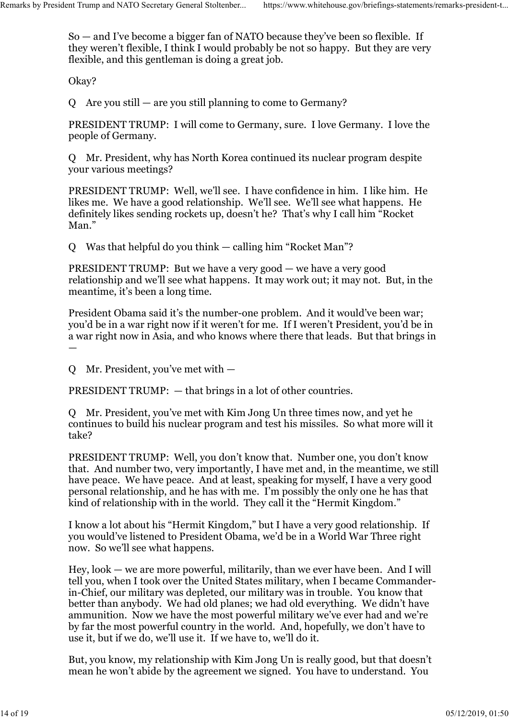So — and I've become a bigger fan of NATO because they've been so flexible. If they weren't flexible, I think I would probably be not so happy. But they are very flexible, and this gentleman is doing a great job. Remarks by President Trump and NATO Secretary General Stoltenber... https://www.whitehouse.gov/briefings-statements/remarks-president-t...<br>So — and I've become a bigger fan of NATO because they've been so flexible. If<br>they

Okay?

Q Are you still — are you still planning to come to Germany?

PRESIDENT TRUMP: I will come to Germany, sure. I love Germany. I love the people of Germany.

Q Mr. President, why has North Korea continued its nuclear program despite your various meetings?

PRESIDENT TRUMP: Well, we'll see. I have confidence in him. I like him. He likes me. We have a good relationship. We'll see. We'll see what happens. He definitely likes sending rockets up, doesn't he? That's why I call him "Rocket Man."

Q Was that helpful do you think — calling him "Rocket Man"?

PRESIDENT TRUMP: But we have a very good — we have a very good relationship and we'll see what happens. It may work out; it may not. But, in the meantime, it's been a long time.

President Obama said it's the number-one problem. And it would've been war; you'd be in a war right now if it weren't for me. If I weren't President, you'd be in a war right now in Asia, and who knows where there that leads. But that brings in  $\frac{1}{2}$  , the contract of the contract of the contract of the contract of the contract of the contract of

Q Mr. President, you've met with —

PRESIDENT TRUMP:  $-$  that brings in a lot of other countries.

Q Mr. President, you've met with Kim Jong Un three times now, and yet he continues to build his nuclear program and test his missiles. So what more will it take?

PRESIDENT TRUMP: Well, you don't know that. Number one, you don't know that. And number two, very importantly, I have met and, in the meantime, we still have peace. We have peace. And at least, speaking for myself, I have a very good personal relationship, and he has with me. I'm possibly the only one he has that kind of relationship with in the world. They call it the "Hermit Kingdom."

I know a lot about his "Hermit Kingdom," but I have a very good relationship. If you would've listened to President Obama, we'd be in a World War Three right now. So we'll see what happens.

Hey, look — we are more powerful, militarily, than we ever have been. And I will tell you, when I took over the United States military, when I became Commanderin-Chief, our military was depleted, our military was in trouble. You know that better than anybody. We had old planes; we had old everything. We didn't have ammunition. Now we have the most powerful military we've ever had and we're by far the most powerful country in the world. And, hopefully, we don't have to use it, but if we do, we'll use it. If we have to, we'll do it.

But, you know, my relationship with Kim Jong Un is really good, but that doesn't mean he won't abide by the agreement we signed. You have to understand. You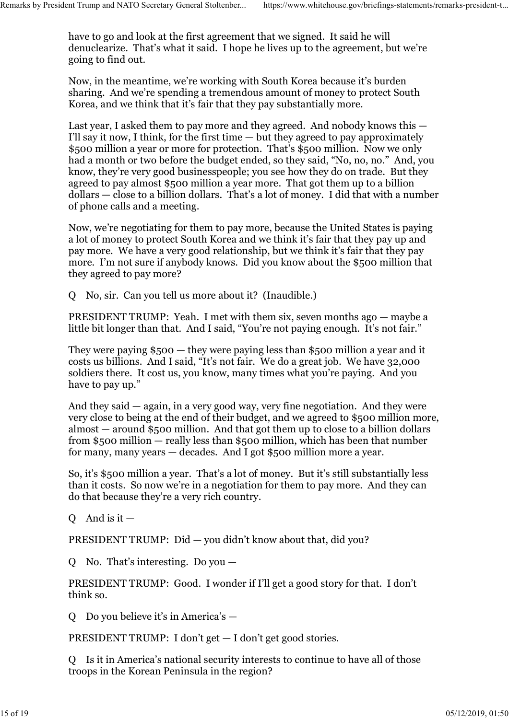have to go and look at the first agreement that we signed. It said he will denuclearize. That's what it said. I hope he lives up to the agreement, but we're going to find out. Remarks by President Trump and NATO Secretary General Stoltenber... https://www.whitehouse.gov/briefings-statements/remarks-president-t...<br>have to go and look at the first agreement that we signed. It said he will<br>denuclea

> Now, in the meantime, we're working with South Korea because it's burden sharing. And we're spending a tremendous amount of money to protect South Korea, and we think that it's fair that they pay substantially more.

Last year, I asked them to pay more and they agreed. And nobody knows this — I'll say it now, I think, for the first time — but they agreed to pay approximately \$500 million a year or more for protection. That's \$500 million. Now we only had a month or two before the budget ended, so they said, "No, no, no." And, you know, they're very good businesspeople; you see how they do on trade. But they agreed to pay almost \$500 million a year more. That got them up to a billion dollars — close to a billion dollars. That's a lot of money. I did that with a number of phone calls and a meeting.

Now, we're negotiating for them to pay more, because the United States is paying a lot of money to protect South Korea and we think it's fair that they pay up and pay more. We have a very good relationship, but we think it's fair that they pay more. I'm not sure if anybody knows. Did you know about the \$500 million that they agreed to pay more?

Q No, sir. Can you tell us more about it? (Inaudible.)

PRESIDENT TRUMP: Yeah. I met with them six, seven months ago — maybe a little bit longer than that. And I said, "You're not paying enough. It's not fair."

They were paying \$500 — they were paying less than \$500 million a year and it costs us billions. And I said, "It's not fair. We do a great job. We have 32,000 soldiers there. It cost us, you know, many times what you're paying. And you have to pay up."

And they said — again, in a very good way, very fine negotiation. And they were very close to being at the end of their budget, and we agreed to \$500 million more, almost — around \$500 million. And that got them up to close to a billion dollars from \$500 million — really less than \$500 million, which has been that number for many, many years — decades. And I got \$500 million more a year.

So, it's \$500 million a year. That's a lot of money. But it's still substantially less than it costs. So now we're in a negotiation for them to pay more. And they can do that because they're a very rich country.

O And is it  $-$ 

PRESIDENT TRUMP: Did — you didn't know about that, did you?

Q No. That's interesting. Do you —

PRESIDENT TRUMP: Good. I wonder if I'll get a good story for that. I don't think so.

Q Do you believe it's in America's —

PRESIDENT TRUMP: I don't get — I don't get good stories.

Q Is it in America's national security interests to continue to have all of those troops in the Korean Peninsula in the region?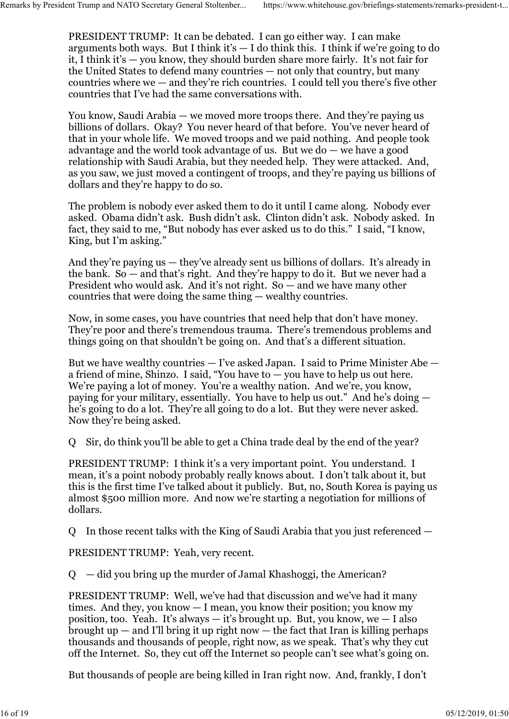PRESIDENT TRUMP: It can be debated. I can go either way. I can make arguments both ways. But I think it's  $-$  I do think this. I think if we're going to do it, I think it's — you know, they should burden share more fairly. It's not fair for the United States to defend many countries — not only that country, but many countries where  $we$  — and they're rich countries. I could tell you there's five other countries that I've had the same conversations with. Remarks by President Trump and NATO Secretary General Stoltenber... https://www.whitehouse.gov/briefings-statements/remarks-president-t...<br>PRESIDENT TRUMP: It can be debated. I can go either way. I can make<br>arguments both

> You know, Saudi Arabia — we moved more troops there. And they're paying us billions of dollars. Okay? You never heard of that before. You've never heard of that in your whole life. We moved troops and we paid nothing. And people took advantage and the world took advantage of us. But we do — we have a good relationship with Saudi Arabia, but they needed help. They were attacked. And, as you saw, we just moved a contingent of troops, and they're paying us billions of dollars and they're happy to do so.

> The problem is nobody ever asked them to do it until I came along. Nobody ever asked. Obama didn't ask. Bush didn't ask. Clinton didn't ask. Nobody asked. In fact, they said to me, "But nobody has ever asked us to do this." I said, "I know, King, but I'm asking."

And they're paying us — they've already sent us billions of dollars. It's already in the bank. So — and that's right. And they're happy to do it. But we never had a President who would ask. And it's not right. So — and we have many other countries that were doing the same thing — wealthy countries.

Now, in some cases, you have countries that need help that don't have money. They're poor and there's tremendous trauma. There's tremendous problems and things going on that shouldn't be going on. And that's a different situation.

But we have wealthy countries — I've asked Japan. I said to Prime Minister Abe a friend of mine, Shinzo. I said, "You have to — you have to help us out here. We're paying a lot of money. You're a wealthy nation. And we're, you know, paying for your military, essentially. You have to help us out." And he's doing he's going to do a lot. They're all going to do a lot. But they were never asked. Now they're being asked.

Q Sir, do think you'll be able to get a China trade deal by the end of the year?

PRESIDENT TRUMP: I think it's a very important point. You understand. I mean, it's a point nobody probably really knows about. I don't talk about it, but this is the first time I've talked about it publicly. But, no, South Korea is paying us almost \$500 million more. And now we're starting a negotiation for millions of dollars.

Q In those recent talks with the King of Saudi Arabia that you just referenced —

PRESIDENT TRUMP: Yeah, very recent.

Q — did you bring up the murder of Jamal Khashoggi, the American?

PRESIDENT TRUMP: Well, we've had that discussion and we've had it many times. And they, you know — I mean, you know their position; you know my position, too. Yeah. It's always  $-$  it's brought up. But, you know, we  $-$  I also brought up  $-$  and I'll bring it up right now  $-$  the fact that Iran is killing perhaps thousands and thousands of people, right now, as we speak. That's why they cut off the Internet. So, they cut off the Internet so people can't see what's going on.

But thousands of people are being killed in Iran right now. And, frankly, I don't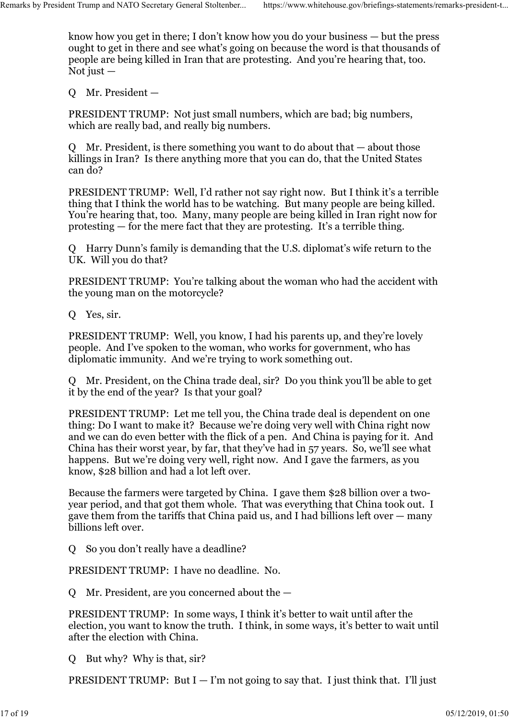know how you get in there; I don't know how you do your business — but the press ought to get in there and see what's going on because the word is that thousands of people are being killed in Iran that are protesting. And you're hearing that, too. Not just  $-$ Remarks by President Trump and NATO Secretary General Stoltenber... https://www.whitehouse.gov/briefings-statements/remarks-president-t...<br>know how you get in there; I don't know how you do your business — but the press<br>ou

Q Mr. President —

PRESIDENT TRUMP: Not just small numbers, which are bad; big numbers, which are really bad, and really big numbers.

Q Mr. President, is there something you want to do about that — about those killings in Iran? Is there anything more that you can do, that the United States can do?

PRESIDENT TRUMP: Well, I'd rather not say right now. But I think it's a terrible thing that I think the world has to be watching. But many people are being killed. You're hearing that, too. Many, many people are being killed in Iran right now for protesting — for the mere fact that they are protesting. It's a terrible thing.

Q Harry Dunn's family is demanding that the U.S. diplomat's wife return to the UK. Will you do that?

PRESIDENT TRUMP: You're talking about the woman who had the accident with the young man on the motorcycle?

Q Yes, sir.

PRESIDENT TRUMP: Well, you know, I had his parents up, and they're lovely people. And I've spoken to the woman, who works for government, who has diplomatic immunity. And we're trying to work something out.

Q Mr. President, on the China trade deal, sir? Do you think you'll be able to get it by the end of the year? Is that your goal?

PRESIDENT TRUMP: Let me tell you, the China trade deal is dependent on one thing: Do I want to make it? Because we're doing very well with China right now and we can do even better with the flick of a pen. And China is paying for it. And China has their worst year, by far, that they've had in 57 years. So, we'll see what happens. But we're doing very well, right now. And I gave the farmers, as you know, \$28 billion and had a lot left over.

Because the farmers were targeted by China. I gave them \$28 billion over a twoyear period, and that got them whole. That was everything that China took out. I gave them from the tariffs that China paid us, and I had billions left over — many billions left over.

Q So you don't really have a deadline?

PRESIDENT TRUMP: I have no deadline. No.

Q Mr. President, are you concerned about the —

PRESIDENT TRUMP: In some ways, I think it's better to wait until after the election, you want to know the truth. I think, in some ways, it's better to wait until after the election with China.

Q But why? Why is that, sir?

PRESIDENT TRUMP: But  $I - I'm$  not going to say that. I just think that. I'll just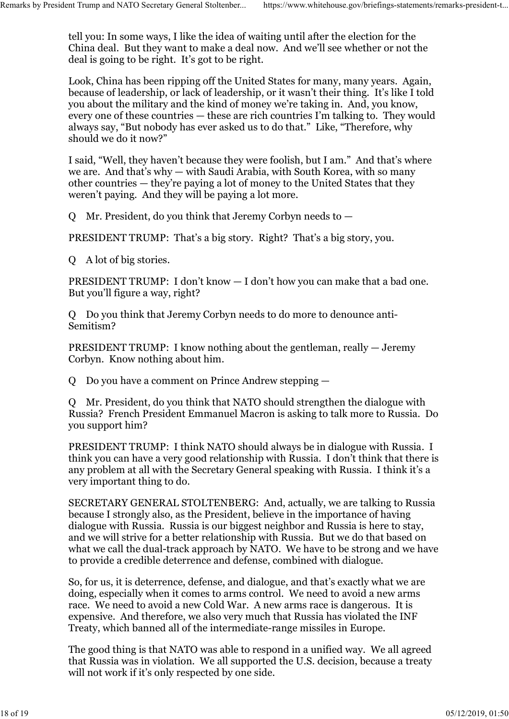tell you: In some ways, I like the idea of waiting until after the election for the China deal. But they want to make a deal now. And we'll see whether or not the deal is going to be right. It's got to be right. Remarks by President Trump and NATO Secretary General Stoltenber... https://www.whitehouse.gov/briefings-statements/remarks-president-t...<br>tell you: In some ways, I like the idea of waiting until after the election for the

> Look, China has been ripping off the United States for many, many years. Again, because of leadership, or lack of leadership, or it wasn't their thing. It's like I told you about the military and the kind of money we're taking in. And, you know, every one of these countries — these are rich countries I'm talking to. They would always say, "But nobody has ever asked us to do that." Like, "Therefore, why should we do it now?"

I said, "Well, they haven't because they were foolish, but I am." And that's where we are. And that's why — with Saudi Arabia, with South Korea, with so many other countries — they're paying a lot of money to the United States that they weren't paying. And they will be paying a lot more.

Q Mr. President, do you think that Jeremy Corbyn needs to —

PRESIDENT TRUMP: That's a big story. Right? That's a big story, you.

Q A lot of big stories.

PRESIDENT TRUMP: I don't know — I don't how you can make that a bad one. But you'll figure a way, right?

Q Do you think that Jeremy Corbyn needs to do more to denounce anti-Semitism?

PRESIDENT TRUMP: I know nothing about the gentleman, really — Jeremy Corbyn. Know nothing about him.

Q Do you have a comment on Prince Andrew stepping —

Q Mr. President, do you think that NATO should strengthen the dialogue with Russia? French President Emmanuel Macron is asking to talk more to Russia. Do you support him?

PRESIDENT TRUMP: I think NATO should always be in dialogue with Russia. I think you can have a very good relationship with Russia. I don't think that there is any problem at all with the Secretary General speaking with Russia. I think it's a very important thing to do.

SECRETARY GENERAL STOLTENBERG: And, actually, we are talking to Russia because I strongly also, as the President, believe in the importance of having dialogue with Russia. Russia is our biggest neighbor and Russia is here to stay, and we will strive for a better relationship with Russia. But we do that based on what we call the dual-track approach by NATO. We have to be strong and we have to provide a credible deterrence and defense, combined with dialogue.

So, for us, it is deterrence, defense, and dialogue, and that's exactly what we are doing, especially when it comes to arms control. We need to avoid a new arms race. We need to avoid a new Cold War. A new arms race is dangerous. It is expensive. And therefore, we also very much that Russia has violated the INF Treaty, which banned all of the intermediate-range missiles in Europe.

The good thing is that NATO was able to respond in a unified way. We all agreed that Russia was in violation. We all supported the U.S. decision, because a treaty will not work if it's only respected by one side.